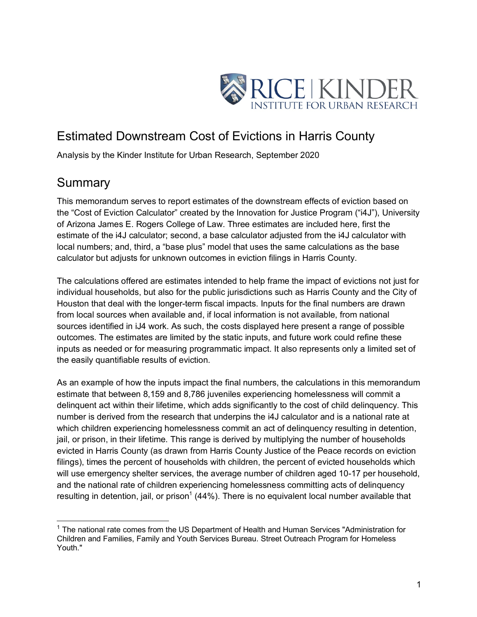

# Estimated Downstream Cost of Evictions in Harris County

Analysis by the Kinder Institute for Urban Research, September 2020

## Summary

This memorandum serves to report estimates of the downstream effects of eviction based on the "Cost of Eviction Calculator" created by the Innovation for Justice Program ("i4J"), University of Arizona James E. Rogers College of Law. Three estimates are included here, first the estimate of the i4J calculator; second, a base calculator adjusted from the i4J calculator with local numbers; and, third, a "base plus" model that uses the same calculations as the base calculator but adjusts for unknown outcomes in eviction filings in Harris County.

The calculations offered are estimates intended to help frame the impact of evictions not just for individual households, but also for the public jurisdictions such as Harris County and the City of Houston that deal with the longer-term fiscal impacts. Inputs for the final numbers are drawn from local sources when available and, if local information is not available, from national sources identified in iJ4 work. As such, the costs displayed here present a range of possible outcomes. The estimates are limited by the static inputs, and future work could refine these inputs as needed or for measuring programmatic impact. It also represents only a limited set of the easily quantifiable results of eviction.

As an example of how the inputs impact the final numbers, the calculations in this memorandum estimate that between 8,159 and 8,786 juveniles experiencing homelessness will commit a delinquent act within their lifetime, which adds significantly to the cost of child delinquency. This number is derived from the research that underpins the i4J calculator and is a national rate at which children experiencing homelessness commit an act of delinquency resulting in detention, jail, or prison, in their lifetime. This range is derived by multiplying the number of households evicted in Harris County (as drawn from Harris County Justice of the Peace records on eviction filings), times the percent of households with children, the percent of evicted households which will use emergency shelter services, the average number of children aged 10-17 per household, and the national rate of children experiencing homelessness committing acts of delinquency resulting in detention, jail, or prison<sup>1</sup> (44%). There is no equivalent local number available that

 $<sup>1</sup>$  The national rate comes from the US Department of Health and Human Services "Administration for</sup> Children and Families, Family and Youth Services Bureau. Street Outreach Program for Homeless Youth."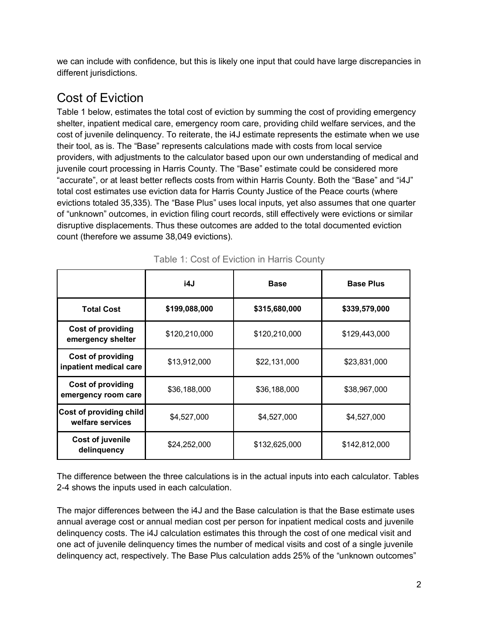we can include with confidence, but this is likely one input that could have large discrepancies in different jurisdictions.

# Cost of Eviction

Table 1 below, estimates the total cost of eviction by summing the cost of providing emergency shelter, inpatient medical care, emergency room care, providing child welfare services, and the cost of juvenile delinquency. To reiterate, the i4J estimate represents the estimate when we use their tool, as is. The "Base" represents calculations made with costs from local service providers, with adjustments to the calculator based upon our own understanding of medical and juvenile court processing in Harris County. The "Base" estimate could be considered more "accurate", or at least better reflects costs from within Harris County. Both the "Base" and "i4J" total cost estimates use eviction data for Harris County Justice of the Peace courts (where evictions totaled 35,335). The "Base Plus" uses local inputs, yet also assumes that one quarter of "unknown" outcomes, in eviction filing court records, still effectively were evictions or similar disruptive displacements. Thus these outcomes are added to the total documented eviction count (therefore we assume 38,049 evictions).

|                                                    | i4J           | <b>Base</b>   | <b>Base Plus</b> |  |
|----------------------------------------------------|---------------|---------------|------------------|--|
| <b>Total Cost</b>                                  | \$199,088,000 | \$315,680,000 | \$339,579,000    |  |
| <b>Cost of providing</b><br>emergency shelter      | \$120,210,000 | \$120,210,000 | \$129,443,000    |  |
| <b>Cost of providing</b><br>inpatient medical care | \$13,912,000  | \$22,131,000  | \$23,831,000     |  |
| <b>Cost of providing</b><br>emergency room care    | \$36,188,000  | \$36,188,000  | \$38,967,000     |  |
| Cost of providing child<br>welfare services        | \$4,527,000   | \$4,527,000   | \$4,527,000      |  |
| <b>Cost of juvenile</b><br>delinquency             | \$24,252,000  | \$132,625,000 | \$142,812,000    |  |

Table 1: Cost of Eviction in Harris County

The difference between the three calculations is in the actual inputs into each calculator. Tables 2-4 shows the inputs used in each calculation.

The major differences between the i4J and the Base calculation is that the Base estimate uses annual average cost or annual median cost per person for inpatient medical costs and juvenile delinquency costs. The i4J calculation estimates this through the cost of one medical visit and one act of juvenile delinquency times the number of medical visits and cost of a single juvenile delinquency act, respectively. The Base Plus calculation adds 25% of the "unknown outcomes"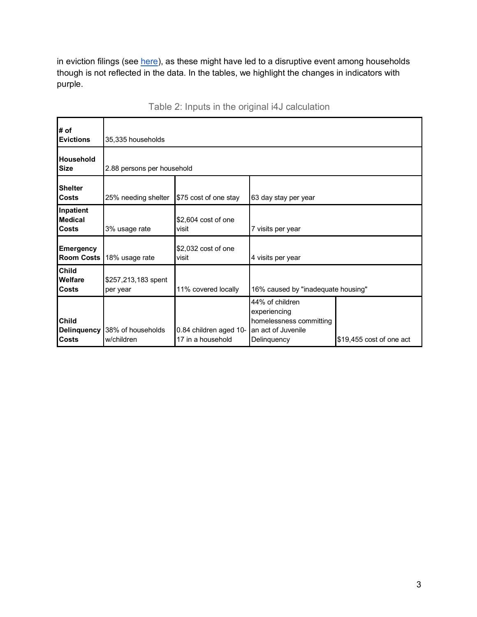in eviction filings (see here), as these might have led to a disruptive event among households though is not reflected in the data. In the tables, we highlight the changes in indicators with purple.

| # of<br><b>Evictions</b>                           | 35,335 households               |                                               |                                                                                                 |                          |  |  |  |
|----------------------------------------------------|---------------------------------|-----------------------------------------------|-------------------------------------------------------------------------------------------------|--------------------------|--|--|--|
| <b>Household</b><br><b>Size</b>                    | 2.88 persons per household      |                                               |                                                                                                 |                          |  |  |  |
| Shelter<br><b>Costs</b>                            | 25% needing shelter             | \$75 cost of one stay<br>63 day stay per year |                                                                                                 |                          |  |  |  |
| Inpatient<br><b>Medical</b><br><b>Costs</b>        | 3% usage rate                   | $$2,604$ cost of one<br>visit                 | 7 visits per year                                                                               |                          |  |  |  |
| <b>Emergency</b><br><b>Room Costs</b>              | 18% usage rate                  | \$2,032 cost of one<br>visit                  | 4 visits per year                                                                               |                          |  |  |  |
| <b>Child</b><br><b>Welfare</b><br><b>Costs</b>     | \$257,213,183 spent<br>per year | 11% covered locally                           | 16% caused by "inadequate housing"                                                              |                          |  |  |  |
| <b>Child</b><br><b>Delinquency</b><br><b>Costs</b> | 38% of households<br>w/children | 0.84 children aged 10-<br>17 in a household   | 44% of children<br>experiencing<br>homelessness committing<br>an act of Juvenile<br>Delinguency | \$19,455 cost of one act |  |  |  |

#### Table 2: Inputs in the original i4J calculation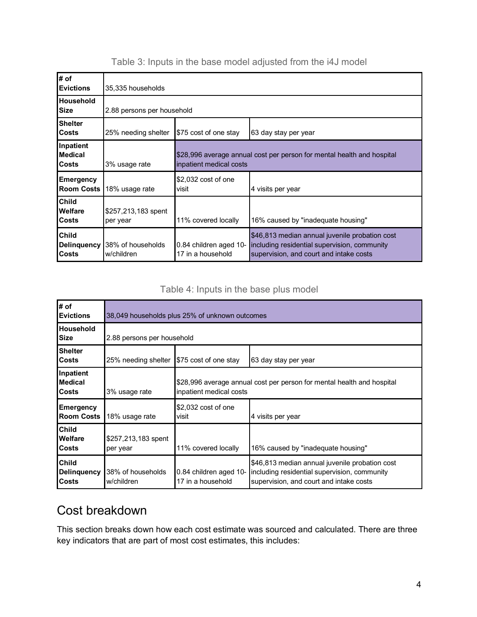| # of<br><b>Evictions</b>                           | 35,335 households               |                                                                                                   |                                                                                                                                           |  |  |  |
|----------------------------------------------------|---------------------------------|---------------------------------------------------------------------------------------------------|-------------------------------------------------------------------------------------------------------------------------------------------|--|--|--|
| Household<br>Size                                  |                                 | 2.88 persons per household                                                                        |                                                                                                                                           |  |  |  |
| Shelter<br><b>Costs</b>                            | 25% needing shelter             | \$75 cost of one stay                                                                             | 63 day stay per year                                                                                                                      |  |  |  |
| Inpatient<br><b>Medical</b><br><b>Costs</b>        | 3% usage rate                   | \$28,996 average annual cost per person for mental health and hospital<br>inpatient medical costs |                                                                                                                                           |  |  |  |
| <b>Emergency</b><br><b>Room Costs</b>              | 18% usage rate                  | \$2,032 cost of one<br>visit                                                                      | 4 visits per year                                                                                                                         |  |  |  |
| <b>Child</b><br><b>Welfare</b><br><b>Costs</b>     | \$257,213,183 spent<br>per year | 11% covered locally                                                                               | 16% caused by "inadequate housing"                                                                                                        |  |  |  |
| <b>Child</b><br><b>Delinquency</b><br><b>Costs</b> | 38% of households<br>w/children | 0.84 children aged 10-<br>17 in a household                                                       | \$46,813 median annual juvenile probation cost<br>including residential supervision, community<br>supervision, and court and intake costs |  |  |  |

#### Table 3: Inputs in the base model adjusted from the i4J model

#### Table 4: Inputs in the base plus model

| # of<br><b>Evictions</b>                       | 38,049 households plus 25% of unknown outcomes |                                                                                                   |                                                                                                                                           |  |  |  |
|------------------------------------------------|------------------------------------------------|---------------------------------------------------------------------------------------------------|-------------------------------------------------------------------------------------------------------------------------------------------|--|--|--|
| <b>Household</b><br>Size                       |                                                | 2.88 persons per household                                                                        |                                                                                                                                           |  |  |  |
| <b>Shelter</b><br>Costs                        | 25% needing shelter                            | \$75 cost of one stay<br>63 day stay per year                                                     |                                                                                                                                           |  |  |  |
| Inpatient<br><b>Medical</b><br><b>Costs</b>    | 3% usage rate                                  | \$28,996 average annual cost per person for mental health and hospital<br>inpatient medical costs |                                                                                                                                           |  |  |  |
| <b>Emergency</b><br><b>Room Costs</b>          | 18% usage rate                                 | \$2,032 cost of one<br>visit                                                                      | 4 visits per year                                                                                                                         |  |  |  |
| <b>Child</b><br><b>Welfare</b><br><b>Costs</b> | \$257,213,183 spent<br>per year                | 11% covered locally                                                                               | 16% caused by "inadequate housing"                                                                                                        |  |  |  |
| <b>Child</b><br><b>Delinquency</b><br>Costs    | 38% of households<br>w/children                | 0.84 children aged 10-<br>17 in a household                                                       | \$46,813 median annual juvenile probation cost<br>including residential supervision, community<br>supervision, and court and intake costs |  |  |  |

## Cost breakdown

This section breaks down how each cost estimate was sourced and calculated. There are three key indicators that are part of most cost estimates, this includes: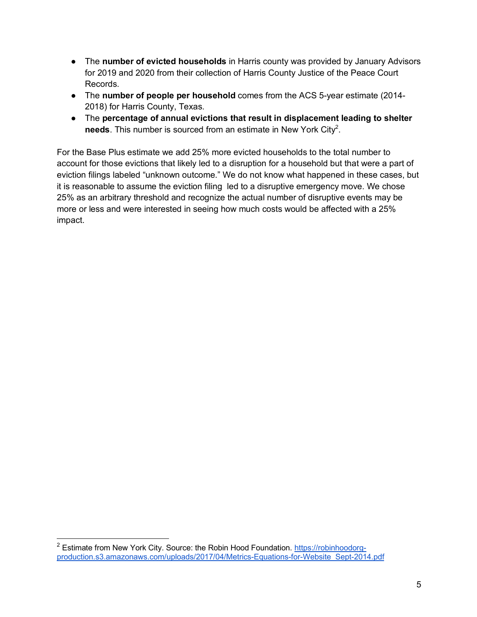- The **number of evicted households** in Harris county was provided by January Advisors for 2019 and 2020 from their collection of Harris County Justice of the Peace Court Records.
- The **number of people per household** comes from the ACS 5-year estimate (2014- 2018) for Harris County, Texas.
- The **percentage of annual evictions that result in displacement leading to shelter**  needs. This number is sourced from an estimate in New York City<sup>2</sup>.

For the Base Plus estimate we add 25% more evicted households to the total number to account for those evictions that likely led to a disruption for a household but that were a part of eviction filings labeled "unknown outcome." We do not know what happened in these cases, but it is reasonable to assume the eviction filing led to a disruptive emergency move. We chose 25% as an arbitrary threshold and recognize the actual number of disruptive events may be more or less and were interested in seeing how much costs would be affected with a 25% impact.

<sup>&</sup>lt;sup>2</sup> Estimate from New York City. Source: the Robin Hood Foundation. https://robinhoodorgproduction.s3.amazonaws.com/uploads/2017/04/Metrics-Equations-for-Website\_Sept-2014.pdf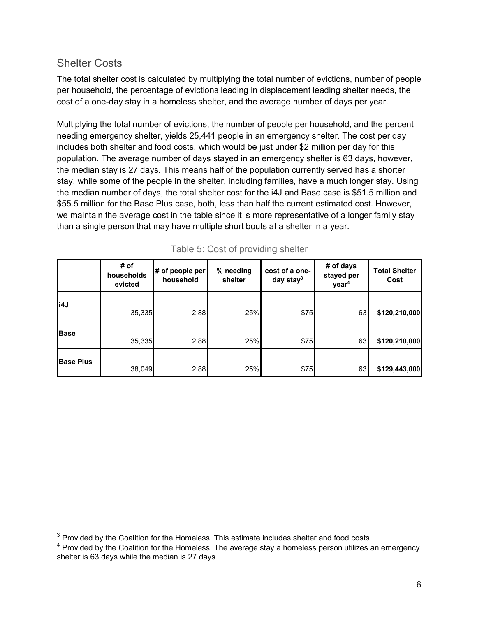#### Shelter Costs

The total shelter cost is calculated by multiplying the total number of evictions, number of people per household, the percentage of evictions leading in displacement leading shelter needs, the cost of a one-day stay in a homeless shelter, and the average number of days per year.

Multiplying the total number of evictions, the number of people per household, and the percent needing emergency shelter, yields 25,441 people in an emergency shelter. The cost per day includes both shelter and food costs, which would be just under \$2 million per day for this population. The average number of days stayed in an emergency shelter is 63 days, however, the median stay is 27 days. This means half of the population currently served has a shorter stay, while some of the people in the shelter, including families, have a much longer stay. Using the median number of days, the total shelter cost for the i4J and Base case is \$51.5 million and \$55.5 million for the Base Plus case, both, less than half the current estimated cost. However, we maintain the average cost in the table since it is more representative of a longer family stay than a single person that may have multiple short bouts at a shelter in a year.

|                  | # of<br>households<br>evicted | # of people per<br>household | % needing<br>shelter | cost of a one-<br>day stay $3$ | # of days<br>stayed per<br>year <sup>4</sup> | <b>Total Shelter</b><br>Cost |
|------------------|-------------------------------|------------------------------|----------------------|--------------------------------|----------------------------------------------|------------------------------|
| i4J              | 35,335                        | 2.88                         | 25%                  | \$75                           | 63                                           | \$120,210,000                |
| <b>Base</b>      | 35,335                        | 2.88                         | 25%                  | \$75                           | 63                                           | \$120,210,000                |
| <b>Base Plus</b> | 38,049                        | 2.88                         | 25%                  | \$75                           | 63                                           | \$129,443,000                |

Table 5: Cost of providing shelter

 $3$  Provided by the Coalition for the Homeless. This estimate includes shelter and food costs.

<sup>&</sup>lt;sup>4</sup> Provided by the Coalition for the Homeless. The average stay a homeless person utilizes an emergency shelter is 63 days while the median is 27 days.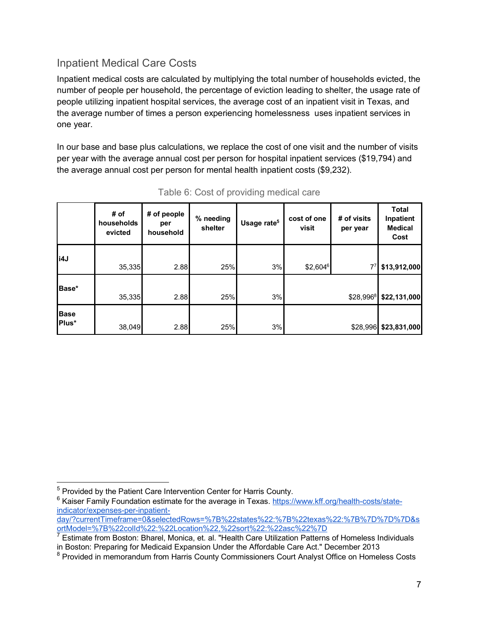#### Inpatient Medical Care Costs

Inpatient medical costs are calculated by multiplying the total number of households evicted, the number of people per household, the percentage of eviction leading to shelter, the usage rate of people utilizing inpatient hospital services, the average cost of an inpatient visit in Texas, and the average number of times a person experiencing homelessness uses inpatient services in one year.

In our base and base plus calculations, we replace the cost of one visit and the number of visits per year with the average annual cost per person for hospital inpatient services (\$19,794) and the average annual cost per person for mental health inpatient costs (\$9,232).

|                      | # of<br>households<br>evicted | # of people<br>per<br>household | % needing<br>shelter | Usage rate <sup>5</sup> | cost of one<br>visit | # of visits<br>per year | <b>Total</b><br>Inpatient<br><b>Medical</b><br>Cost |
|----------------------|-------------------------------|---------------------------------|----------------------|-------------------------|----------------------|-------------------------|-----------------------------------------------------|
| li4J                 | 35,335                        | 2.88                            | 25%                  | 3%                      | \$2,6046             | $7^7$                   | \$13,912,000                                        |
| Base*                | 35,335                        | 2.88                            | 25%                  | 3%                      |                      | \$28,9968               | \$22,131,000                                        |
| <b>Base</b><br>Plus* | 38,049                        | 2.88                            | 25%                  | 3%                      |                      | \$28,996                | \$23,831,000                                        |

Table 6: Cost of providing medical care

<sup>&</sup>lt;sup>5</sup> Provided by the Patient Care Intervention Center for Harris County.

<sup>&</sup>lt;sup>6</sup> Kaiser Family Foundation estimate for the average in Texas. https://www.kff.org/health-costs/stateindicator/expenses-per-inpatient-

day/?currentTimeframe=0&selectedRows=%7B%22states%22:%7B%22texas%22:%7B%7D%7D%7D&s ortModel=%7B%22colId%22:%22Location%22,%22sort%22:%22asc%22%7D

<sup>7</sup> Estimate from Boston: Bharel, Monica, et. al. "Health Care Utilization Patterns of Homeless Individuals in Boston: Preparing for Medicaid Expansion Under the Affordable Care Act." December 2013

<sup>&</sup>lt;sup>8</sup> Provided in memorandum from Harris County Commissioners Court Analyst Office on Homeless Costs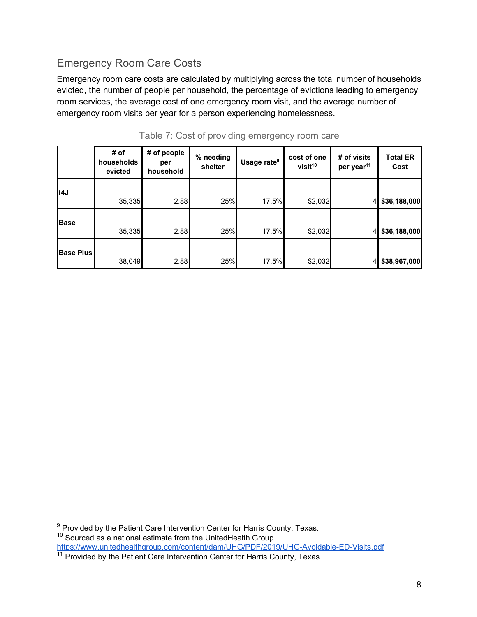## Emergency Room Care Costs

Emergency room care costs are calculated by multiplying across the total number of households evicted, the number of people per household, the percentage of evictions leading to emergency room services, the average cost of one emergency room visit, and the average number of emergency room visits per year for a person experiencing homelessness.

|                  | # of<br>households<br>evicted | # of people<br>per<br>household | % needing<br>shelter | Usage rate <sup>9</sup> | cost of one<br>visit <sup>10</sup> | # of visits<br>per year <sup>11</sup> | <b>Total ER</b><br>Cost |
|------------------|-------------------------------|---------------------------------|----------------------|-------------------------|------------------------------------|---------------------------------------|-------------------------|
| i4J              | 35,335                        | 2.88                            | 25%                  | 17.5%                   | \$2,032                            | 4                                     | \$36,188,000            |
| <b>Base</b>      | 35,335                        | 2.88                            | 25%                  | 17.5%                   | \$2,032                            | $\overline{4}$                        | \$36,188,000            |
| <b>Base Plus</b> | 38,049                        | 2.88                            | 25%                  | 17.5%                   | \$2,032                            | $\overline{4}$                        | \$38,967,000            |

| Table 7: Cost of providing emergency room care |  |  |  |  |
|------------------------------------------------|--|--|--|--|
|------------------------------------------------|--|--|--|--|

<sup>&</sup>lt;sup>9</sup> Provided by the Patient Care Intervention Center for Harris County, Texas. <sup>10</sup> Sourced as a national estimate from the UnitedHealth Group. https://www.unitedhealthgroup.com/content/dam/UHG/PDF/2019/UHG-Avoidable-ED-Visits.pdf

<sup>&</sup>lt;sup>11</sup> Provided by the Patient Care Intervention Center for Harris County, Texas.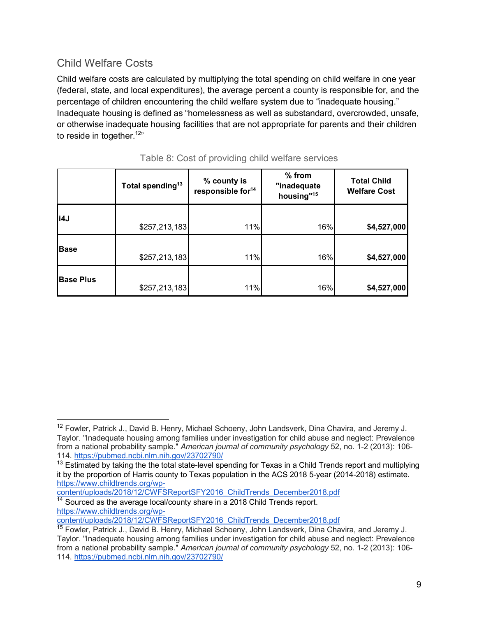## Child Welfare Costs

Child welfare costs are calculated by multiplying the total spending on child welfare in one year (federal, state, and local expenditures), the average percent a county is responsible for, and the percentage of children encountering the child welfare system due to "inadequate housing." Inadequate housing is defined as "homelessness as well as substandard, overcrowded, unsafe, or otherwise inadequate housing facilities that are not appropriate for parents and their children to reside in together.<sup>12"</sup>

|                  | Total spending <sup>13</sup> | % county is<br>responsible for <sup>14</sup> | $%$ from<br>"inadequate<br>housing" <sup>15</sup> | <b>Total Child</b><br><b>Welfare Cost</b> |
|------------------|------------------------------|----------------------------------------------|---------------------------------------------------|-------------------------------------------|
| i4J              | \$257,213,183                | 11%                                          | 16%                                               | \$4,527,000                               |
| <b>Base</b>      | \$257,213,183                | 11%                                          | 16%                                               | \$4,527,000                               |
| <b>Base Plus</b> | \$257,213,183                | 11%                                          | 16%                                               | \$4,527,000                               |

#### Table 8: Cost of providing child welfare services

content/uploads/2018/12/CWFSReportSFY2016\_ChildTrends\_December2018.pdf

<sup>&</sup>lt;sup>12</sup> Fowler, Patrick J., David B. Henry, Michael Schoeny, John Landsverk, Dina Chavira, and Jeremy J. Taylor. "Inadequate housing among families under investigation for child abuse and neglect: Prevalence from a national probability sample." *American journal of community psychology* 52, no. 1-2 (2013): 106- 114. https://pubmed.ncbi.nlm.nih.gov/23702790/

 $13$  Estimated by taking the the total state-level spending for Texas in a Child Trends report and multiplying it by the proportion of Harris county to Texas population in the ACS 2018 5-year (2014-2018) estimate. https://www.childtrends.org/wp-

 $14$  Sourced as the average local/county share in a 2018 Child Trends report. https://www.childtrends.org/wp-

content/uploads/2018/12/CWFSReportSFY2016\_ChildTrends\_December2018.pdf

<sup>15</sup> Fowler, Patrick J., David B. Henry, Michael Schoeny, John Landsverk, Dina Chavira, and Jeremy J. Taylor. "Inadequate housing among families under investigation for child abuse and neglect: Prevalence from a national probability sample." *American journal of community psychology* 52, no. 1-2 (2013): 106- 114. https://pubmed.ncbi.nlm.nih.gov/23702790/